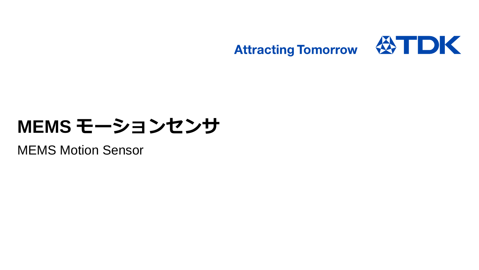

# **MEMS モーションセンサ**

MEMS Motion Sensor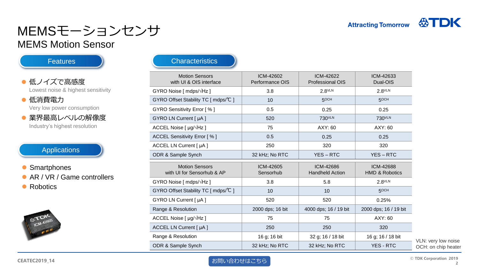# MEMSモーションセンサ

### MEMS Motion Sensor

**Features** 

#### ● 低ノイズで高感度 Lowest noise & highest sensitivity

#### ● 低消費電力 Very low power consumption

● 業界最高レベルの解像度 Industry's highest resolution

Applications

• Smartphones ● AR / VR / Game controllers

• Robotics



#### **Characteristics**

| <b>Motion Sensors</b><br>with UI & OIS interface          | ICM-42602<br>Performance OIS | ICM-42622<br>Professional OIS       | ICM-42633<br>Dual-OIS                  |
|-----------------------------------------------------------|------------------------------|-------------------------------------|----------------------------------------|
| GYRO Noise [ $mdps/\sqrt{Hz}$ ]                           | 3.8                          | $2.8$ VLN                           | $2.8$ VLN                              |
| GYRO Offset Stability TC [ mdps/℃ ]                       | 10                           | 5OCH                                | 5OCH                                   |
| GYRO Sensitivity Error [%]                                | 0.5                          | 0.25                                | 0.25                                   |
| GYRO LN Current [ µA ]                                    | 520                          | 730 <sup>VLN</sup>                  | 730 <sup>VLN</sup>                     |
| ACCEL Noise [ $\mu$ g/ $\sqrt{Hz}$ ]                      | 75                           | AXY: 60                             | AXY: 60                                |
| ACCEL Sensitivity Error [%]                               | 0.5                          | 0.25                                | 0.25                                   |
| ACCEL LN Current [ µA ]                                   | 250                          | 320                                 | 320                                    |
| ODR & Sample Synch                                        | 32 kHz; No RTC               | <b>YES-RTC</b>                      | YES-RTC                                |
| <b>Motion Sensors</b><br>with UI for Sensorhub & AP       | ICM-42605<br>Sensorhub       | ICM-42686<br><b>Handheld Action</b> | ICM-42688<br><b>HMD &amp; Robotics</b> |
| GYRO Noise [ mdps/√Hz ]                                   | 3.8                          |                                     |                                        |
|                                                           |                              | 5.8                                 | $2.8$ <sup>VLN</sup>                   |
| GYRO Offset Stability TC [ mdps/ ${}^{\circ}\mathsf{C}$ ] | 10                           | 10                                  | 5OCH                                   |
| GYRO LN Current [ µA ]                                    | 520                          | 520                                 | 0.25%                                  |
| Range & Resolution                                        | 2000 dps; 16 bit             | 4000 dps; 16 / 19 bit               | 2000 dps; 16 / 19 bit                  |
| ACCEL Noise $[ \mu g / \sqrt{Hz} ]$                       | 75                           | 75                                  | AXY: 60                                |
| ACCEL LN Current [ µA ]                                   | 250                          | 250                                 | 320                                    |
| Range & Resolution                                        | 16 g; 16 bit                 | 32 g; 16 / 18 bit                   | 16 g; 16 / 18 bit                      |

VLN: very low noise OCH: on chip heater

#### **CEATEC2019\_14**

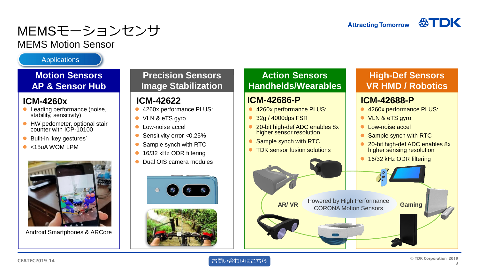# MEMSモーションセンサ

## MEMS Motion Sensor

**Applications** 

### **Motion Sensors AP & Sensor Hub**

- Leading performance (noise, stability, sensitivity)
- **HW pedometer, optional stair** counter with ICP-10100
- Built-in 'key gestures'
- $\bullet$  <15uA WOM LPM



Android Smartphones & ARCore

## **Precision Sensors Image Stabilization**

- 4260x performance PLUS:
- VLN & eTS gyro
- Low-noise accel
- Sensitivity error <0.25%
- Sample synch with RTC
- 16/32 kHz ODR filtering
- Dual OIS camera modules



## **Action Sensors Handhelds/Wearables**

- 4260x performance PLUS:
- 32g / 4000dps FSR
- 20-bit high-def ADC enables 8x higher sensor resolution
- Sample synch with RTC
- TDK sensor fusion solutions

## **High-Def Sensors VR HMD / Robotics**

# **ICM-4260x ICM-42622 ICM-42686-P ICM-42688-P**

- 4260x performance PLUS:
- VLN & eTS gyro
- **C** Low-noise accel
- Sample synch with RTC
- 20-bit high-def ADC enables 8x higher sensing resolution
- 16/32 kHz ODR filtering

CORONA Motion Sensors **AR/ VR Gaming**

Powered by High Performance